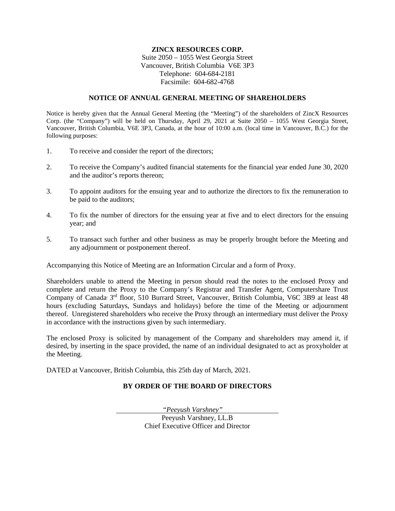## **ZINCX RESOURCES CORP.**

Suite 2050 – 1055 West Georgia Street Vancouver, British Columbia V6E 3P3 Telephone: 604-684-2181 Facsimile: 604-682-4768

### **NOTICE OF ANNUAL GENERAL MEETING OF SHAREHOLDERS**

Notice is hereby given that the Annual General Meeting (the "Meeting") of the shareholders of ZincX Resources Corp. (the "Company") will be held on Thursday, April 29, 2021 at Suite 2050 – 1055 West Georgia Street, Vancouver, British Columbia, V6E 3P3, Canada, at the hour of 10:00 a.m. (local time in Vancouver, B.C.) for the following purposes:

- 1. To receive and consider the report of the directors;
- 2. To receive the Company's audited financial statements for the financial year ended June 30, 2020 and the auditor's reports thereon;
- 3. To appoint auditors for the ensuing year and to authorize the directors to fix the remuneration to be paid to the auditors;
- 4. To fix the number of directors for the ensuing year at five and to elect directors for the ensuing year; and
- 5. To transact such further and other business as may be properly brought before the Meeting and any adjournment or postponement thereof.

Accompanying this Notice of Meeting are an Information Circular and a form of Proxy.

Shareholders unable to attend the Meeting in person should read the notes to the enclosed Proxy and complete and return the Proxy to the Company's Registrar and Transfer Agent, Computershare Trust Company of Canada<sup>, 3rd</sup> floor, 510 Burrard Street, Vancouver, British Columbia, V6C 3B9 at least 48 hours (excluding Saturdays, Sundays and holidays) before the time of the Meeting or adjournment thereof. Unregistered shareholders who receive the Proxy through an intermediary must deliver the Proxy in accordance with the instructions given by such intermediary.

The enclosed Proxy is solicited by management of the Company and shareholders may amend it, if desired, by inserting in the space provided, the name of an individual designated to act as proxyholder at the Meeting.

DATED at Vancouver, British Columbia, this 25th day of March, 2021.

# **BY ORDER OF THE BOARD OF DIRECTORS**

*"Peeyush Varshney"*  Peeyush Varshney, LL.B Chief Executive Officer and Director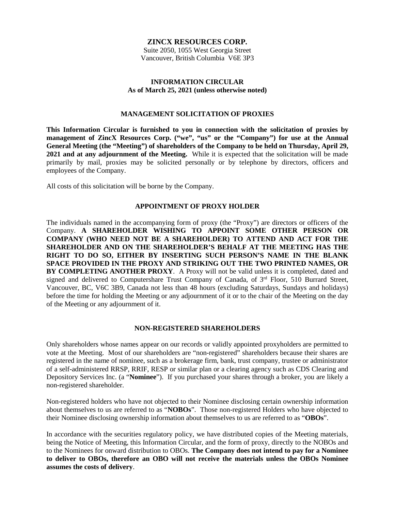## **ZINCX RESOURCES CORP.**

Suite 2050, 1055 West Georgia Street Vancouver, British Columbia V6E 3P3

### **INFORMATION CIRCULAR As of March 25, 2021 (unless otherwise noted)**

## **MANAGEMENT SOLICITATION OF PROXIES**

**This Information Circular is furnished to you in connection with the solicitation of proxies by management of ZincX Resources Corp. ("we", "us" or the "Company") for use at the Annual General Meeting (the "Meeting") of shareholders of the Company to be held on Thursday, April 29, 2021 and at any adjournment of the Meeting.** While it is expected that the solicitation will be made primarily by mail, proxies may be solicited personally or by telephone by directors, officers and employees of the Company.

All costs of this solicitation will be borne by the Company.

### **APPOINTMENT OF PROXY HOLDER**

The individuals named in the accompanying form of proxy (the "Proxy") are directors or officers of the Company. **A SHAREHOLDER WISHING TO APPOINT SOME OTHER PERSON OR COMPANY (WHO NEED NOT BE A SHAREHOLDER) TO ATTEND AND ACT FOR THE SHAREHOLDER AND ON THE SHAREHOLDER'S BEHALF AT THE MEETING HAS THE RIGHT TO DO SO, EITHER BY INSERTING SUCH PERSON'S NAME IN THE BLANK SPACE PROVIDED IN THE PROXY AND STRIKING OUT THE TWO PRINTED NAMES, OR BY COMPLETING ANOTHER PROXY**. A Proxy will not be valid unless it is completed, dated and signed and delivered to Computershare Trust Company of Canada, of 3<sup>rd</sup> Floor, 510 Burrard Street, Vancouver, BC, V6C 3B9, Canada not less than 48 hours (excluding Saturdays, Sundays and holidays) before the time for holding the Meeting or any adjournment of it or to the chair of the Meeting on the day of the Meeting or any adjournment of it.

### **NON-REGISTERED SHAREHOLDERS**

Only shareholders whose names appear on our records or validly appointed proxyholders are permitted to vote at the Meeting. Most of our shareholders are "non-registered" shareholders because their shares are registered in the name of nominee, such as a brokerage firm, bank, trust company, trustee or administrator of a self-administered RRSP, RRIF, RESP or similar plan or a clearing agency such as CDS Clearing and Depository Services Inc. (a "**Nominee**"). If you purchased your shares through a broker, you are likely a non-registered shareholder.

Non-registered holders who have not objected to their Nominee disclosing certain ownership information about themselves to us are referred to as "**NOBOs**". Those non-registered Holders who have objected to their Nominee disclosing ownership information about themselves to us are referred to as "**OBOs**".

In accordance with the securities regulatory policy, we have distributed copies of the Meeting materials, being the Notice of Meeting, this Information Circular, and the form of proxy, directly to the NOBOs and to the Nominees for onward distribution to OBOs. **The Company does not intend to pay for a Nominee to deliver to OBOs, therefore an OBO will not receive the materials unless the OBOs Nominee assumes the costs of delivery**.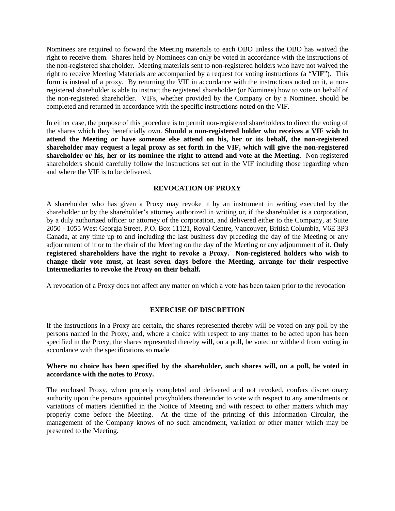Nominees are required to forward the Meeting materials to each OBO unless the OBO has waived the right to receive them. Shares held by Nominees can only be voted in accordance with the instructions of the non-registered shareholder. Meeting materials sent to non-registered holders who have not waived the right to receive Meeting Materials are accompanied by a request for voting instructions (a "**VIF**"). This form is instead of a proxy. By returning the VIF in accordance with the instructions noted on it, a nonregistered shareholder is able to instruct the registered shareholder (or Nominee) how to vote on behalf of the non-registered shareholder. VIFs, whether provided by the Company or by a Nominee, should be completed and returned in accordance with the specific instructions noted on the VIF.

In either case, the purpose of this procedure is to permit non-registered shareholders to direct the voting of the shares which they beneficially own. **Should a non-registered holder who receives a VIF wish to attend the Meeting or have someone else attend on his, her or its behalf, the non-registered shareholder may request a legal proxy as set forth in the VIF, which will give the non-registered shareholder or his, her or its nominee the right to attend and vote at the Meeting.** Non-registered shareholders should carefully follow the instructions set out in the VIF including those regarding when and where the VIF is to be delivered.

# **REVOCATION OF PROXY**

A shareholder who has given a Proxy may revoke it by an instrument in writing executed by the shareholder or by the shareholder's attorney authorized in writing or, if the shareholder is a corporation, by a duly authorized officer or attorney of the corporation, and delivered either to the Company, at Suite 2050 - 1055 West Georgia Street, P.O. Box 11121, Royal Centre, Vancouver, British Columbia, V6E 3P3 Canada, at any time up to and including the last business day preceding the day of the Meeting or any adjournment of it or to the chair of the Meeting on the day of the Meeting or any adjournment of it. **Only registered shareholders have the right to revoke a Proxy. Non-registered holders who wish to change their vote must, at least seven days before the Meeting, arrange for their respective Intermediaries to revoke the Proxy on their behalf.**

A revocation of a Proxy does not affect any matter on which a vote has been taken prior to the revocation

# **EXERCISE OF DISCRETION**

If the instructions in a Proxy are certain, the shares represented thereby will be voted on any poll by the persons named in the Proxy, and, where a choice with respect to any matter to be acted upon has been specified in the Proxy, the shares represented thereby will, on a poll, be voted or withheld from voting in accordance with the specifications so made.

## **Where no choice has been specified by the shareholder, such shares will, on a poll, be voted in accordance with the notes to Proxy.**

The enclosed Proxy, when properly completed and delivered and not revoked, confers discretionary authority upon the persons appointed proxyholders thereunder to vote with respect to any amendments or variations of matters identified in the Notice of Meeting and with respect to other matters which may properly come before the Meeting. At the time of the printing of this Information Circular, the management of the Company knows of no such amendment, variation or other matter which may be presented to the Meeting.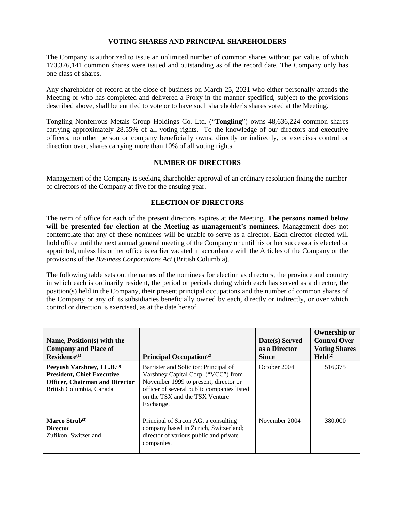# **VOTING SHARES AND PRINCIPAL SHAREHOLDERS**

The Company is authorized to issue an unlimited number of common shares without par value, of which 170,376,141 common shares were issued and outstanding as of the record date. The Company only has one class of shares.

Any shareholder of record at the close of business on March 25, 2021 who either personally attends the Meeting or who has completed and delivered a Proxy in the manner specified, subject to the provisions described above, shall be entitled to vote or to have such shareholder's shares voted at the Meeting.

Tongling Nonferrous Metals Group Holdings Co. Ltd. ("**Tongling**") owns 48,636,224 common shares carrying approximately 28.55% of all voting rights. To the knowledge of our directors and executive officers, no other person or company beneficially owns, directly or indirectly, or exercises control or direction over, shares carrying more than 10% of all voting rights.

## **NUMBER OF DIRECTORS**

Management of the Company is seeking shareholder approval of an ordinary resolution fixing the number of directors of the Company at five for the ensuing year.

# **ELECTION OF DIRECTORS**

The term of office for each of the present directors expires at the Meeting. **The persons named below will be presented for election at the Meeting as management's nominees.** Management does not contemplate that any of these nominees will be unable to serve as a director. Each director elected will hold office until the next annual general meeting of the Company or until his or her successor is elected or appointed, unless his or her office is earlier vacated in accordance with the Articles of the Company or the provisions of the *Business Corporations Act* (British Columbia).

The following table sets out the names of the nominees for election as directors, the province and country in which each is ordinarily resident, the period or periods during which each has served as a director, the position(s) held in the Company, their present principal occupations and the number of common shares of the Company or any of its subsidiaries beneficially owned by each, directly or indirectly, or over which control or direction is exercised, as at the date hereof.

| Name, Position(s) with the<br><b>Company and Place of</b><br>$Residence^{(1)}$                                                                   | Principal Occupation <sup>(2)</sup>                                                                                                                                                                                | Date(s) Served<br>as a Director<br><b>Since</b> | <b>Ownership or</b><br><b>Control Over</b><br><b>Voting Shares</b><br>$\text{Held}^{(2)}$ |
|--------------------------------------------------------------------------------------------------------------------------------------------------|--------------------------------------------------------------------------------------------------------------------------------------------------------------------------------------------------------------------|-------------------------------------------------|-------------------------------------------------------------------------------------------|
| Peeyush Varshney, LL.B. <sup>(3)</sup><br><b>President, Chief Executive</b><br><b>Officer, Chairman and Director</b><br>British Columbia, Canada | Barrister and Solicitor; Principal of<br>Varshney Capital Corp. ("VCC") from<br>November 1999 to present; director or<br>officer of several public companies listed<br>on the TSX and the TSX Venture<br>Exchange. | October 2004                                    | 516,375                                                                                   |
| Marco Strub $(3)$<br><b>Director</b><br>Zufikon, Switzerland                                                                                     | Principal of Sircon AG, a consulting<br>company based in Zurich, Switzerland;<br>director of various public and private<br>companies.                                                                              | November 2004                                   | 380,000                                                                                   |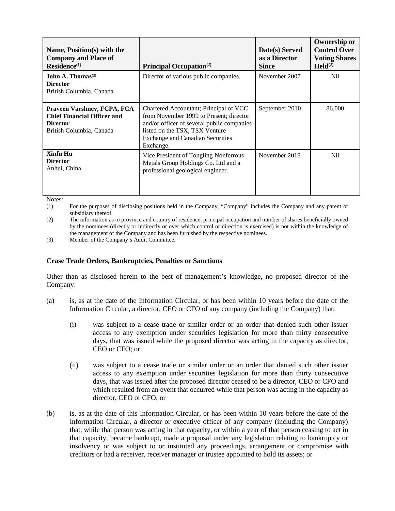| Name, Position(s) with the<br><b>Company and Place of</b><br>$Residence^{(1)}$                                   | Principal Occupation <sup>(2)</sup>                                                                                                                                                                                       | Date(s) Served<br>as a Director<br><b>Since</b> | <b>Ownership or</b><br><b>Control Over</b><br><b>Voting Shares</b><br>$\text{Held}^{(2)}$ |
|------------------------------------------------------------------------------------------------------------------|---------------------------------------------------------------------------------------------------------------------------------------------------------------------------------------------------------------------------|-------------------------------------------------|-------------------------------------------------------------------------------------------|
| John A. Thomas <sup>(3)</sup><br><b>Director</b><br>British Columbia, Canada                                     | Director of various public companies.                                                                                                                                                                                     | November 2007                                   | N <sub>il</sub>                                                                           |
| Praveen Varshney, FCPA, FCA<br><b>Chief Financial Officer and</b><br><b>Director</b><br>British Columbia, Canada | Chartered Accountant; Principal of VCC<br>from November 1999 to Present; director<br>and/or officer of several public companies<br>listed on the TSX, TSX Venture<br><b>Exchange and Canadian Securities</b><br>Exchange. | September 2010                                  | 86,000                                                                                    |
| Xinfu Hu<br><b>Director</b><br>Anhui, China                                                                      | Vice President of Tongling Nonferrous<br>Metals Group Holdings Co. Ltd and a<br>professional geological engineer.                                                                                                         | November 2018                                   | N <sub>i</sub>                                                                            |

Notes:

(1) For the purposes of disclosing positions held in the Company, "Company" includes the Company and any parent or subsidiary thereof.

(2) The information as to province and country of residence, principal occupation and number of shares beneficially owned by the nominees (directly or indirectly or over which control or direction is exercised) is not within the knowledge of the management of the Company and has been furnished by the respective nominees.

(3) Member of the Company's Audit Committee.

### **Cease Trade Orders, Bankruptcies, Penalties or Sanctions**

Other than as disclosed herein to the best of management's knowledge, no proposed director of the Company:

- (a) is, as at the date of the Information Circular, or has been within 10 years before the date of the Information Circular, a director, CEO or CFO of any company (including the Company) that:
	- (i) was subject to a cease trade or similar order or an order that denied such other issuer access to any exemption under securities legislation for more than thirty consecutive days, that was issued while the proposed director was acting in the capacity as director, CEO or CFO; or
	- (ii) was subject to a cease trade or similar order or an order that denied such other issuer access to any exemption under securities legislation for more than thirty consecutive days, that was issued after the proposed director ceased to be a director, CEO or CFO and which resulted from an event that occurred while that person was acting in the capacity as director, CEO or CFO; or
- (b) is, as at the date of this Information Circular, or has been within 10 years before the date of the Information Circular, a director or executive officer of any company (including the Company) that, while that person was acting in that capacity, or within a year of that person ceasing to act in that capacity, became bankrupt, made a proposal under any legislation relating to bankruptcy or insolvency or was subject to or instituted any proceedings, arrangement or compromise with creditors or had a receiver, receiver manager or trustee appointed to hold its assets; or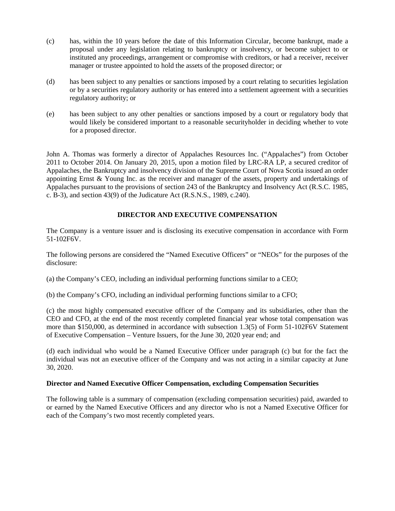- (c) has, within the 10 years before the date of this Information Circular, become bankrupt, made a proposal under any legislation relating to bankruptcy or insolvency, or become subject to or instituted any proceedings, arrangement or compromise with creditors, or had a receiver, receiver manager or trustee appointed to hold the assets of the proposed director; or
- (d) has been subject to any penalties or sanctions imposed by a court relating to securities legislation or by a securities regulatory authority or has entered into a settlement agreement with a securities regulatory authority; or
- (e) has been subject to any other penalties or sanctions imposed by a court or regulatory body that would likely be considered important to a reasonable securityholder in deciding whether to vote for a proposed director.

John A. Thomas was formerly a director of Appalaches Resources Inc. ("Appalaches") from October 2011 to October 2014. On January 20, 2015, upon a motion filed by LRC-RA LP, a secured creditor of Appalaches, the Bankruptcy and insolvency division of the Supreme Court of Nova Scotia issued an order appointing Ernst & Young Inc. as the receiver and manager of the assets, property and undertakings of Appalaches pursuant to the provisions of section 243 of the Bankruptcy and Insolvency Act (R.S.C. 1985, c. B-3), and section 43(9) of the Judicature Act (R.S.N.S., 1989, c.240).

# **DIRECTOR AND EXECUTIVE COMPENSATION**

The Company is a venture issuer and is disclosing its executive compensation in accordance with Form 51-102F6V.

The following persons are considered the "Named Executive Officers" or "NEOs" for the purposes of the disclosure:

(a) the Company's CEO, including an individual performing functions similar to a CEO;

(b) the Company's CFO, including an individual performing functions similar to a CFO;

(c) the most highly compensated executive officer of the Company and its subsidiaries, other than the CEO and CFO, at the end of the most recently completed financial year whose total compensation was more than \$150,000, as determined in accordance with subsection 1.3(5) of Form 51-102F6V Statement of Executive Compensation – Venture Issuers, for the June 30, 2020 year end; and

(d) each individual who would be a Named Executive Officer under paragraph (c) but for the fact the individual was not an executive officer of the Company and was not acting in a similar capacity at June 30, 2020.

## **Director and Named Executive Officer Compensation, excluding Compensation Securities**

The following table is a summary of compensation (excluding compensation securities) paid, awarded to or earned by the Named Executive Officers and any director who is not a Named Executive Officer for each of the Company's two most recently completed years.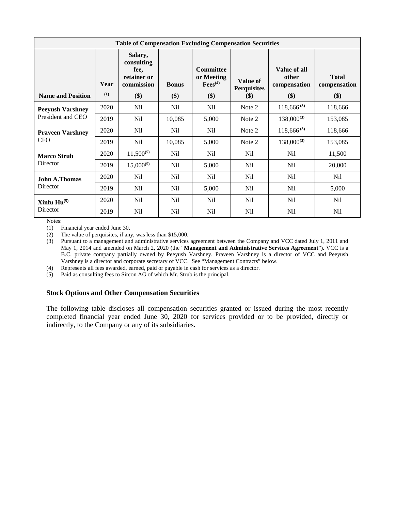| <b>Table of Compensation Excluding Compensation Securities</b> |             |                                                                   |                       |                                                       |                                       |                                              |                                     |
|----------------------------------------------------------------|-------------|-------------------------------------------------------------------|-----------------------|-------------------------------------------------------|---------------------------------------|----------------------------------------------|-------------------------------------|
| <b>Name and Position</b>                                       | Year<br>(1) | Salary,<br>consulting<br>fee,<br>retainer or<br>commission<br>\$) | <b>Bonus</b><br>$($)$ | <b>Committee</b><br>or Meeting<br>$Fees^{(4)}$<br>\$) | Value of<br><b>Perquisites</b><br>\$) | Value of all<br>other<br>compensation<br>\$) | <b>Total</b><br>compensation<br>\$) |
|                                                                | 2020        | N <sub>il</sub>                                                   | N <sub>il</sub>       | Nil                                                   | Note 2                                | $118,666^{(3)}$                              | 118,666                             |
| <b>Peeyush Varshney</b><br>President and CEO                   |             |                                                                   |                       |                                                       |                                       |                                              |                                     |
|                                                                | 2019        | N <sub>il</sub>                                                   | 10,085                | 5,000                                                 | Note 2                                | $138,000^{(3)}$                              | 153,085                             |
| <b>Praveen Varshney</b>                                        | 2020        | N <sub>il</sub>                                                   | Nil                   | Nil                                                   | Note 2                                | $118,666^{(3)}$                              | 118,666                             |
| <b>CFO</b>                                                     | 2019        | N <sub>il</sub>                                                   | 10,085                | 5,000                                                 | Note 2                                | $138,000^{(3)}$                              | 153,085                             |
| <b>Marco Strub</b>                                             | 2020        | $11,500^{(5)}$                                                    | Nil                   | N <sub>il</sub>                                       | Nil                                   | N <sub>il</sub>                              | 11,500                              |
| Director                                                       | 2019        | $15,000^{(5)}$                                                    | Nil                   | 5,000                                                 | N <sub>il</sub>                       | N <sub>il</sub>                              | 20,000                              |
| <b>John A.Thomas</b>                                           | 2020        | N <sub>il</sub>                                                   | Nil                   | Nil                                                   | Nil                                   | N <sub>il</sub>                              | Nil                                 |
| Director                                                       | 2019        | N <sub>il</sub>                                                   | N <sub>il</sub>       | 5,000                                                 | N <sub>il</sub>                       | N <sub>il</sub>                              | 5,000                               |
| Xinfu $Hu^{(5)}$                                               | 2020        | N <sub>il</sub>                                                   | N <sub>il</sub>       | N <sub>il</sub>                                       | N <sub>il</sub>                       | Nil                                          | Nil                                 |
| Director                                                       | 2019        | N <sub>il</sub>                                                   | N <sub>il</sub>       | N <sub>il</sub>                                       | N <sub>il</sub>                       | N <sub>il</sub>                              | N <sub>il</sub>                     |

Notes:

(1) Financial year ended June 30.

(2) The value of perquisites, if any, was less than \$15,000.

(3) Pursuant to a management and administrative services agreement between the Company and VCC dated July 1, 2011 and May 1, 2014 and amended on March 2, 2020 (the "**Management and Administrative Services Agreement**"). VCC is a B.C. private company partially owned by Peeyush Varshney. Praveen Varshney is a director of VCC and Peeyush Varshney is a director and corporate secretary of VCC. See "Management Contracts" below.

(4) Represents all fees awarded, earned, paid or payable in cash for services as a director.

(5) Paid as consulting fees to Sircon AG of which Mr. Strub is the principal.

### **Stock Options and Other Compensation Securities**

The following table discloses all compensation securities granted or issued during the most recently completed financial year ended June 30, 2020 for services provided or to be provided, directly or indirectly, to the Company or any of its subsidiaries.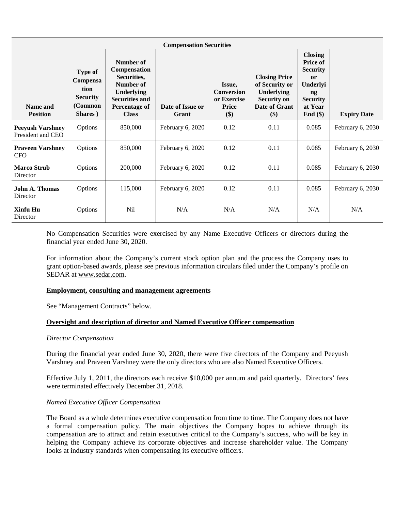| <b>Compensation Securities</b>               |                                                                      |                                                                                                                                             |                           |                                                                   |                                                                                                    |                                                                                                                                                |                    |
|----------------------------------------------|----------------------------------------------------------------------|---------------------------------------------------------------------------------------------------------------------------------------------|---------------------------|-------------------------------------------------------------------|----------------------------------------------------------------------------------------------------|------------------------------------------------------------------------------------------------------------------------------------------------|--------------------|
| Name and<br><b>Position</b>                  | Type of<br>Compensa<br>tion<br><b>Security</b><br>(Common<br>Shares) | Number of<br><b>Compensation</b><br>Securities,<br>Number of<br>Underlying<br><b>Securities and</b><br><b>Percentage of</b><br><b>Class</b> | Date of Issue or<br>Grant | Issue,<br><b>Conversion</b><br>or Exercise<br><b>Price</b><br>\$) | <b>Closing Price</b><br>of Security or<br>Underlying<br><b>Security on</b><br>Date of Grant<br>\$) | <b>Closing</b><br><b>Price of</b><br><b>Security</b><br>$\mathbf{or}$<br>Underlyi<br>$\mathbf{ng}$<br><b>Security</b><br>at Year<br>End $(\$)$ | <b>Expiry Date</b> |
| <b>Peeyush Varshney</b><br>President and CEO | Options                                                              | 850,000                                                                                                                                     | February 6, 2020          | 0.12                                                              | 0.11                                                                                               | 0.085                                                                                                                                          | February 6, 2030   |
| <b>Praveen Varshney</b><br><b>CFO</b>        | Options                                                              | 850,000                                                                                                                                     | February 6, 2020          | 0.12                                                              | 0.11                                                                                               | 0.085                                                                                                                                          | February 6, 2030   |
| <b>Marco Strub</b><br>Director               | Options                                                              | 200,000                                                                                                                                     | February 6, 2020          | 0.12                                                              | 0.11                                                                                               | 0.085                                                                                                                                          | February 6, 2030   |
| <b>John A. Thomas</b><br>Director            | Options                                                              | 115,000                                                                                                                                     | February 6, 2020          | 0.12                                                              | 0.11                                                                                               | 0.085                                                                                                                                          | February 6, 2030   |
| Xinfu Hu<br>Director                         | Options                                                              | Nil                                                                                                                                         | N/A                       | N/A                                                               | N/A                                                                                                | N/A                                                                                                                                            | N/A                |

No Compensation Securities were exercised by any Name Executive Officers or directors during the financial year ended June 30, 2020.

For information about the Company's current stock option plan and the process the Company uses to grant option-based awards, please see previous information circulars filed under the Company's profile on SEDAR at [www.sedar.com.](http://www.sedar.com)

### **Employment, consulting and management agreements**

See "Management Contracts" below.

### **Oversight and description of director and Named Executive Officer compensation**

#### *Director Compensation*

During the financial year ended June 30, 2020, there were five directors of the Company and Peeyush Varshney and Praveen Varshney were the only directors who are also Named Executive Officers.

Effective July 1, 2011, the directors each receive \$10,000 per annum and paid quarterly. Directors' fees were terminated effectively December 31, 2018.

### *Named Executive Officer Compensation*

The Board as a whole determines executive compensation from time to time. The Company does not have a formal compensation policy. The main objectives the Company hopes to achieve through its compensation are to attract and retain executives critical to the Company's success, who will be key in helping the Company achieve its corporate objectives and increase shareholder value. The Company looks at industry standards when compensating its executive officers.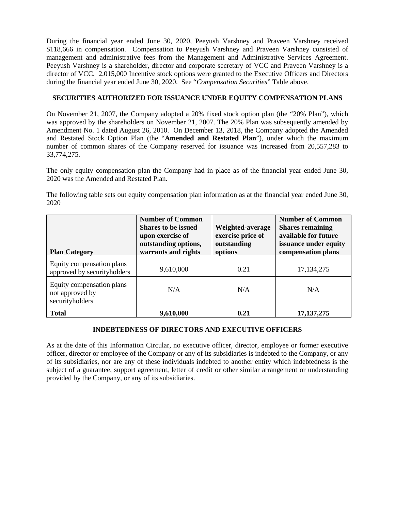During the financial year ended June 30, 2020, Peeyush Varshney and Praveen Varshney received \$118,666 in compensation. Compensation to Peeyush Varshney and Praveen Varshney consisted of management and administrative fees from the Management and Administrative Services Agreement. Peeyush Varshney is a shareholder, director and corporate secretary of VCC and Praveen Varshney is a director of VCC. 2,015,000 Incentive stock options were granted to the Executive Officers and Directors during the financial year ended June 30, 2020. See "*Compensation Securities*" Table above.

# **SECURITIES AUTHORIZED FOR ISSUANCE UNDER EQUITY COMPENSATION PLANS**

On November 21, 2007, the Company adopted a 20% fixed stock option plan (the "20% Plan"), which was approved by the shareholders on November 21, 2007. The 20% Plan was subsequently amended by Amendment No. 1 dated August 26, 2010. On December 13, 2018, the Company adopted the Amended and Restated Stock Option Plan (the "**Amended and Restated Plan**"), under which the maximum number of common shares of the Company reserved for issuance was increased from 20,557,283 to 33,774,275.

The only equity compensation plan the Company had in place as of the financial year ended June 30, 2020 was the Amended and Restated Plan.

The following table sets out equity compensation plan information as at the financial year ended June 30, 2020

| <b>Plan Category</b>                                            | <b>Number of Common</b><br><b>Shares to be issued</b><br>upon exercise of<br>outstanding options,<br>warrants and rights | Weighted-average<br>exercise price of<br>outstanding<br>options | <b>Number of Common</b><br><b>Shares remaining</b><br>available for future<br>issuance under equity<br>compensation plans |
|-----------------------------------------------------------------|--------------------------------------------------------------------------------------------------------------------------|-----------------------------------------------------------------|---------------------------------------------------------------------------------------------------------------------------|
| Equity compensation plans<br>approved by securityholders        | 9,610,000                                                                                                                | 0.21                                                            | 17, 134, 275                                                                                                              |
| Equity compensation plans<br>not approved by<br>securityholders | N/A                                                                                                                      | N/A                                                             | N/A                                                                                                                       |
| <b>Total</b>                                                    | 9,610,000                                                                                                                | 0.21                                                            | 17, 137, 275                                                                                                              |

# **INDEBTEDNESS OF DIRECTORS AND EXECUTIVE OFFICERS**

As at the date of this Information Circular, no executive officer, director, employee or former executive officer, director or employee of the Company or any of its subsidiaries is indebted to the Company, or any of its subsidiaries, nor are any of these individuals indebted to another entity which indebtedness is the subject of a guarantee, support agreement, letter of credit or other similar arrangement or understanding provided by the Company, or any of its subsidiaries.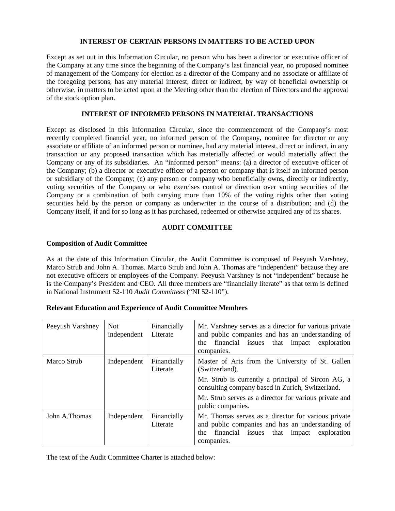# **INTEREST OF CERTAIN PERSONS IN MATTERS TO BE ACTED UPON**

Except as set out in this Information Circular, no person who has been a director or executive officer of the Company at any time since the beginning of the Company's last financial year, no proposed nominee of management of the Company for election as a director of the Company and no associate or affiliate of the foregoing persons, has any material interest, direct or indirect, by way of beneficial ownership or otherwise, in matters to be acted upon at the Meeting other than the election of Directors and the approval of the stock option plan.

# **INTEREST OF INFORMED PERSONS IN MATERIAL TRANSACTIONS**

Except as disclosed in this Information Circular, since the commencement of the Company's most recently completed financial year, no informed person of the Company, nominee for director or any associate or affiliate of an informed person or nominee, had any material interest, direct or indirect, in any transaction or any proposed transaction which has materially affected or would materially affect the Company or any of its subsidiaries. An "informed person" means: (a) a director of executive officer of the Company; (b) a director or executive officer of a person or company that is itself an informed person or subsidiary of the Company; (c) any person or company who beneficially owns, directly or indirectly, voting securities of the Company or who exercises control or direction over voting securities of the Company or a combination of both carrying more than 10% of the voting rights other than voting securities held by the person or company as underwriter in the course of a distribution; and (d) the Company itself, if and for so long as it has purchased, redeemed or otherwise acquired any of its shares.

# **AUDIT COMMITTEE**

# **Composition of Audit Committee**

As at the date of this Information Circular, the Audit Committee is composed of Peeyush Varshney, Marco Strub and John A. Thomas. Marco Strub and John A. Thomas are "independent" because they are not executive officers or employees of the Company. Peeyush Varshney is not "independent" because he is the Company's President and CEO. All three members are "financially literate" as that term is defined in National Instrument 52-110 *Audit Committees* ("NI 52-110").

| <b>Relevant Education and Experience of Audit Committee Members</b> |  |  |
|---------------------------------------------------------------------|--|--|
|---------------------------------------------------------------------|--|--|

| Peeyush Varshney | <b>Not</b><br>independent | Financially<br>Literate | Mr. Varshney serves as a director for various private<br>and public companies and has an understanding of<br>financial issues that<br>exploration<br>impact<br>the<br>companies.                                                                            |
|------------------|---------------------------|-------------------------|-------------------------------------------------------------------------------------------------------------------------------------------------------------------------------------------------------------------------------------------------------------|
| Marco Strub      | Independent               | Financially<br>Literate | Master of Arts from the University of St. Gallen<br>(Switzerland).<br>Mr. Strub is currently a principal of Sircon AG, a<br>consulting company based in Zurich, Switzerland.<br>Mr. Strub serves as a director for various private and<br>public companies. |
| John A.Thomas    | Independent               | Financially<br>Literate | Mr. Thomas serves as a director for various private<br>and public companies and has an understanding of<br>financial issues that<br>exploration<br>impact<br>the<br>companies.                                                                              |

The text of the Audit Committee Charter is attached below: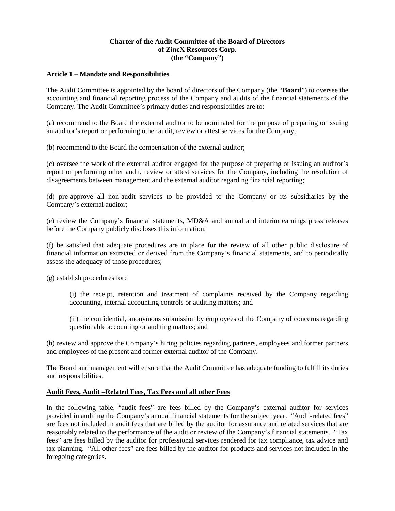# **Charter of the Audit Committee of the Board of Directors of ZincX Resources Corp. (the "Company")**

# **Article 1 – Mandate and Responsibilities**

The Audit Committee is appointed by the board of directors of the Company (the "**Board**") to oversee the accounting and financial reporting process of the Company and audits of the financial statements of the Company. The Audit Committee's primary duties and responsibilities are to:

(a) recommend to the Board the external auditor to be nominated for the purpose of preparing or issuing an auditor's report or performing other audit, review or attest services for the Company;

(b) recommend to the Board the compensation of the external auditor;

(c) oversee the work of the external auditor engaged for the purpose of preparing or issuing an auditor's report or performing other audit, review or attest services for the Company, including the resolution of disagreements between management and the external auditor regarding financial reporting;

(d) pre-approve all non-audit services to be provided to the Company or its subsidiaries by the Company's external auditor;

(e) review the Company's financial statements, MD&A and annual and interim earnings press releases before the Company publicly discloses this information;

(f) be satisfied that adequate procedures are in place for the review of all other public disclosure of financial information extracted or derived from the Company's financial statements, and to periodically assess the adequacy of those procedures;

(g) establish procedures for:

(i) the receipt, retention and treatment of complaints received by the Company regarding accounting, internal accounting controls or auditing matters; and

(ii) the confidential, anonymous submission by employees of the Company of concerns regarding questionable accounting or auditing matters; and

(h) review and approve the Company's hiring policies regarding partners, employees and former partners and employees of the present and former external auditor of the Company.

The Board and management will ensure that the Audit Committee has adequate funding to fulfill its duties and responsibilities.

# **Audit Fees, Audit –Related Fees, Tax Fees and all other Fees**

In the following table, "audit fees" are fees billed by the Company's external auditor for services provided in auditing the Company's annual financial statements for the subject year. "Audit-related fees" are fees not included in audit fees that are billed by the auditor for assurance and related services that are reasonably related to the performance of the audit or review of the Company's financial statements. "Tax fees" are fees billed by the auditor for professional services rendered for tax compliance, tax advice and tax planning. "All other fees" are fees billed by the auditor for products and services not included in the foregoing categories.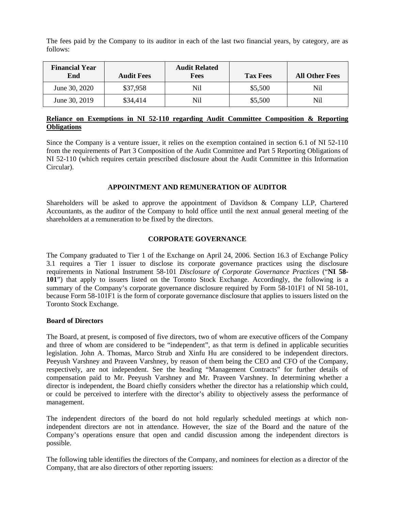The fees paid by the Company to its auditor in each of the last two financial years, by category, are as follows:

| <b>Financial Year</b><br>End | <b>Audit Fees</b> | <b>Audit Related</b><br><b>Fees</b> | <b>Tax Fees</b> | <b>All Other Fees</b> |
|------------------------------|-------------------|-------------------------------------|-----------------|-----------------------|
| June 30, 2020                | \$37,958          | Nil                                 | \$5,500         | Nil                   |
| June 30, 2019                | \$34,414          | Nil                                 | \$5,500         | Nil                   |

# **Reliance on Exemptions in NI 52-110 regarding Audit Committee Composition & Reporting Obligations**

Since the Company is a venture issuer, it relies on the exemption contained in section 6.1 of NI 52-110 from the requirements of Part 3 Composition of the Audit Committee and Part 5 Reporting Obligations of NI 52-110 (which requires certain prescribed disclosure about the Audit Committee in this Information Circular).

# **APPOINTMENT AND REMUNERATION OF AUDITOR**

Shareholders will be asked to approve the appointment of Davidson & Company LLP, Chartered Accountants, as the auditor of the Company to hold office until the next annual general meeting of the shareholders at a remuneration to be fixed by the directors.

# **CORPORATE GOVERNANCE**

The Company graduated to Tier 1 of the Exchange on April 24, 2006. Section 16.3 of Exchange Policy 3.1 requires a Tier 1 issuer to disclose its corporate governance practices using the disclosure requirements in National Instrument 58-101 *Disclosure of Corporate Governance Practices* ("**NI 58- 101**") that apply to issuers listed on the Toronto Stock Exchange. Accordingly, the following is a summary of the Company's corporate governance disclosure required by Form 58-101F1 of NI 58-101, because Form 58-101F1 is the form of corporate governance disclosure that applies to issuers listed on the Toronto Stock Exchange*.*

## **Board of Directors**

The Board, at present, is composed of five directors, two of whom are executive officers of the Company and three of whom are considered to be "independent", as that term is defined in applicable securities legislation. John A. Thomas, Marco Strub and Xinfu Hu are considered to be independent directors. Peeyush Varshney and Praveen Varshney, by reason of them being the CEO and CFO of the Company, respectively, are not independent. See the heading "Management Contracts" for further details of compensation paid to Mr. Peeyush Varshney and Mr. Praveen Varshney. In determining whether a director is independent, the Board chiefly considers whether the director has a relationship which could, or could be perceived to interfere with the director's ability to objectively assess the performance of management.

The independent directors of the board do not hold regularly scheduled meetings at which nonindependent directors are not in attendance. However, the size of the Board and the nature of the Company's operations ensure that open and candid discussion among the independent directors is possible.

The following table identifies the directors of the Company, and nominees for election as a director of the Company, that are also directors of other reporting issuers: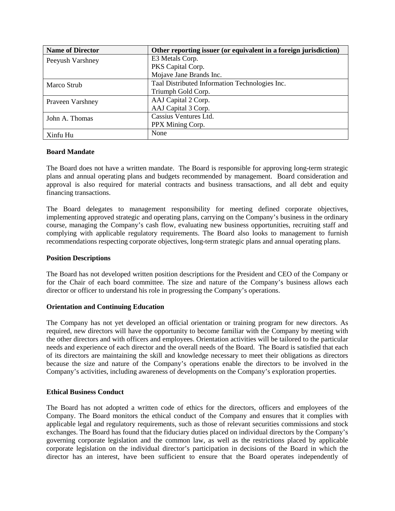| <b>Name of Director</b> | Other reporting issuer (or equivalent in a foreign jurisdiction) |
|-------------------------|------------------------------------------------------------------|
| Peeyush Varshney        | E3 Metals Corp.                                                  |
|                         | PKS Capital Corp.                                                |
|                         | Mojave Jane Brands Inc.                                          |
| Marco Strub             | Taal Distributed Information Technologies Inc.                   |
|                         | Triumph Gold Corp.                                               |
| Praveen Varshney        | AAJ Capital 2 Corp.                                              |
|                         | AAJ Capital 3 Corp.                                              |
| John A. Thomas          | Cassius Ventures Ltd.                                            |
|                         | PPX Mining Corp.                                                 |
| Xinfu Hu                | None                                                             |

# **Board Mandate**

The Board does not have a written mandate. The Board is responsible for approving long-term strategic plans and annual operating plans and budgets recommended by management. Board consideration and approval is also required for material contracts and business transactions, and all debt and equity financing transactions.

The Board delegates to management responsibility for meeting defined corporate objectives, implementing approved strategic and operating plans, carrying on the Company's business in the ordinary course, managing the Company's cash flow, evaluating new business opportunities, recruiting staff and complying with applicable regulatory requirements. The Board also looks to management to furnish recommendations respecting corporate objectives, long-term strategic plans and annual operating plans.

### **Position Descriptions**

The Board has not developed written position descriptions for the President and CEO of the Company or for the Chair of each board committee. The size and nature of the Company's business allows each director or officer to understand his role in progressing the Company's operations.

# **Orientation and Continuing Education**

The Company has not yet developed an official orientation or training program for new directors. As required, new directors will have the opportunity to become familiar with the Company by meeting with the other directors and with officers and employees. Orientation activities will be tailored to the particular needs and experience of each director and the overall needs of the Board. The Board is satisfied that each of its directors are maintaining the skill and knowledge necessary to meet their obligations as directors because the size and nature of the Company's operations enable the directors to be involved in the Company's activities, including awareness of developments on the Company's exploration properties.

# **Ethical Business Conduct**

The Board has not adopted a written code of ethics for the directors, officers and employees of the Company. The Board monitors the ethical conduct of the Company and ensures that it complies with applicable legal and regulatory requirements, such as those of relevant securities commissions and stock exchanges. The Board has found that the fiduciary duties placed on individual directors by the Company's governing corporate legislation and the common law, as well as the restrictions placed by applicable corporate legislation on the individual director's participation in decisions of the Board in which the director has an interest, have been sufficient to ensure that the Board operates independently of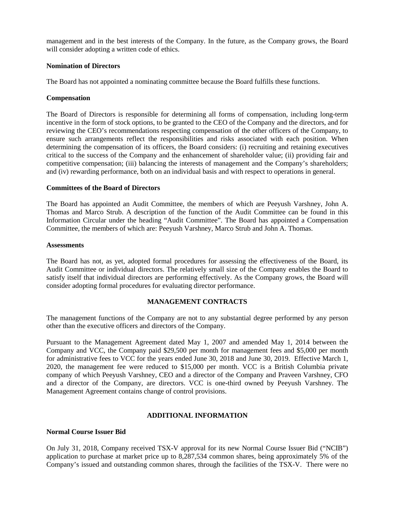management and in the best interests of the Company. In the future, as the Company grows, the Board will consider adopting a written code of ethics.

## **Nomination of Directors**

The Board has not appointed a nominating committee because the Board fulfills these functions.

## **Compensation**

The Board of Directors is responsible for determining all forms of compensation, including long-term incentive in the form of stock options, to be granted to the CEO of the Company and the directors, and for reviewing the CEO's recommendations respecting compensation of the other officers of the Company, to ensure such arrangements reflect the responsibilities and risks associated with each position. When determining the compensation of its officers, the Board considers: (i) recruiting and retaining executives critical to the success of the Company and the enhancement of shareholder value; (ii) providing fair and competitive compensation; (iii) balancing the interests of management and the Company's shareholders; and (iv) rewarding performance, both on an individual basis and with respect to operations in general.

## **Committees of the Board of Directors**

The Board has appointed an Audit Committee, the members of which are Peeyush Varshney, John A. Thomas and Marco Strub. A description of the function of the Audit Committee can be found in this Information Circular under the heading "Audit Committee". The Board has appointed a Compensation Committee, the members of which are: Peeyush Varshney, Marco Strub and John A. Thomas.

### **Assessments**

The Board has not, as yet, adopted formal procedures for assessing the effectiveness of the Board, its Audit Committee or individual directors. The relatively small size of the Company enables the Board to satisfy itself that individual directors are performing effectively. As the Company grows, the Board will consider adopting formal procedures for evaluating director performance.

# **MANAGEMENT CONTRACTS**

The management functions of the Company are not to any substantial degree performed by any person other than the executive officers and directors of the Company.

Pursuant to the Management Agreement dated May 1, 2007 and amended May 1, 2014 between the Company and VCC, the Company paid \$29,500 per month for management fees and \$5,000 per month for administrative fees to VCC for the years ended June 30, 2018 and June 30, 2019. Effective March 1, 2020, the management fee were reduced to \$15,000 per month. VCC is a British Columbia private company of which Peeyush Varshney, CEO and a director of the Company and Praveen Varshney, CFO and a director of the Company, are directors. VCC is one-third owned by Peeyush Varshney. The Management Agreement contains change of control provisions.

# **ADDITIONAL INFORMATION**

### **Normal Course Issuer Bid**

On July 31, 2018, Company received TSX-V approval for its new Normal Course Issuer Bid ("NCIB") application to purchase at market price up to 8,287,534 common shares, being approximately 5% of the Company's issued and outstanding common shares, through the facilities of the TSX-V. There were no